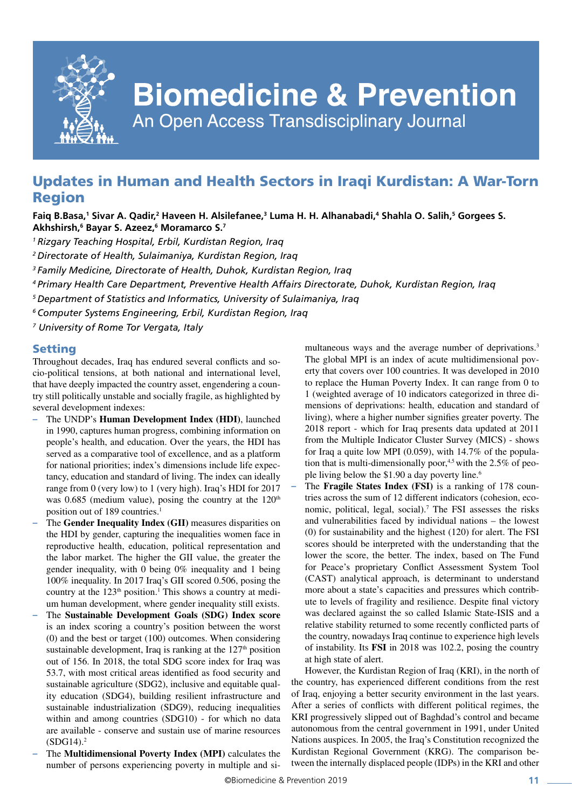

# **Biomedicine & Prevention**

An Open Access Transdisciplinary Journal

# Updates in Human and Health Sectors in Iraqi Kurdistan: A War-Torn Region

# Faiq B.Basa,<sup>1</sup> Sivar A. Qadir,<sup>2</sup> Haveen H. Alsilefanee,<sup>3</sup> Luma H. H. Alhanabadi,<sup>4</sup> Shahla O. Salih,<sup>5</sup> Gorgees S. **Akhshirsh,6 Bayar S. Azeez,6 Moramarco S.7**

- *1 Rizgary Teaching Hospital, Erbil, Kurdistan Region, Iraq*
- *2 Directorate of Health, Sulaimaniya, Kurdistan Region, Iraq*

*3 Family Medicine, Directorate of Health, Duhok, Kurdistan Region, Iraq*

- *4 Primary Health Care Department, Preventive Health Affairs Directorate, Duhok, Kurdistan Region, Iraq*
- *5 Department of Statistics and Informatics, University of [Sulaimaniya](https://en.wikipedia.org/wiki/Sulaymaniyah_Governorate), Iraq*
- *6 Computer Systems Engineering, Erbil, Kurdistan Region, Iraq*

*7 University of Rome Tor Vergata, Italy*

### Setting

Throughout decades, Iraq has endured several conflicts and socio-political tensions, at both national and international level, that have deeply impacted the country asset, engendering a country still politically unstable and socially fragile, as highlighted by several development indexes:

- **–** The UNDP's **Human Development Index (HDI)**, launched in 1990, captures human progress, combining information on people's health, and education. Over the years, the HDI has served as a comparative tool of excellence, and as a platform for national priorities; index's dimensions include life expectancy, education and standard of living. The index can ideally range from 0 (very low) to 1 (very high). Iraq's HDI for 2017 was  $0.685$  (medium value), posing the country at the  $120<sup>th</sup>$ position out of 189 countries.<sup>1</sup>
- **–** The **Gender Inequality Index (GII)** measures disparities on the HDI by gender, capturing the inequalities women face in reproductive health, education, political representation and the labor market. The higher the GII value, the greater the gender inequality, with 0 being 0% inequality and 1 being 100% inequality. In 2017 Iraq's GII scored 0.506, posing the country at the  $123<sup>th</sup>$  position.<sup>1</sup> This shows a country at medium human development, where gender inequality still exists.
- **–** The **Sustainable Development Goals (SDG) Index score** is an index scoring a country's position between the worst (0) and the best or target (100) outcomes. When considering sustainable development. Iraq is ranking at the  $127<sup>th</sup>$  position out of 156. In 2018, the total SDG score index for Iraq was 53.7, with most critical areas identified as food security and sustainable agriculture (SDG2), inclusive and equitable quality education (SDG4), building resilient infrastructure and sustainable industrialization (SDG9), reducing inequalities within and among countries (SDG10) - for which no data are available - conserve and sustain use of marine resources  $(SDG14).<sup>2</sup>$
- **–** The **Multidimensional Poverty Index (MPI)** calculates the number of persons experiencing poverty in multiple and si-

multaneous ways and the average number of deprivations.<sup>3</sup> The global MPI is an index of acute multidimensional poverty that covers over 100 countries. It was developed in 2010 to replace the Human Poverty Index. It can range from 0 to 1 (weighted average of 10 indicators categorized in three dimensions of deprivations: health, education and standard of living), where a higher number signifies greater poverty. The 2018 report - which for Iraq presents data updated at 2011 from the Multiple Indicator Cluster Survey (MICS) - shows for Iraq a quite low MPI (0.059), with 14.7% of the population that is multi-dimensionally poor, $4.5$  with the 2.5% of people living below the \$1.90 a day poverty line.<sup>6</sup>

**–** The **Fragile States Index (FSI)** is a ranking of 178 countries across the sum of 12 different indicators (cohesion, economic, political, legal, social).<sup>7</sup> The FSI assesses the risks and vulnerabilities faced by individual nations – the lowest (0) for sustainability and the highest (120) for alert. The FSI scores should be interpreted with the understanding that the lower the score, the better. The index, based on The Fund for Peace's proprietary Conflict Assessment System Tool (CAST) analytical approach, is determinant to understand more about a state's capacities and pressures which contribute to levels of fragility and resilience. Despite final victory was declared against the so called Islamic State-ISIS and a relative stability returned to some recently conflicted parts of the country, nowadays Iraq continue to experience high levels of instability. Its **FSI** in 2018 was 102.2, posing the country at high state of alert.

However, the Kurdistan Region of Iraq (KRI), in the north of the country, has experienced different conditions from the rest of Iraq, enjoying a better security environment in the last years. After a series of conflicts with different political regimes, the KRI progressively slipped out of Baghdad's control and became autonomous from the central government in 1991, under United Nations auspices. In 2005, the Iraq's Constitution recognized the Kurdistan Regional Government (KRG). The comparison between the internally displaced people (IDPs) in the KRI and other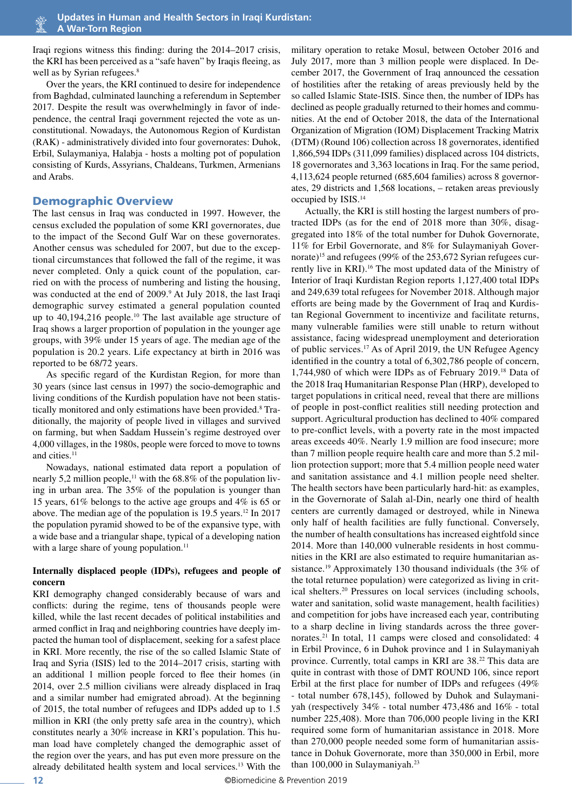Iraqi regions witness this finding: during the 2014–2017 crisis, the KRI has been perceived as a "safe haven" by Iraqis fleeing, as well as by Syrian refugees.<sup>8</sup>

Over the years, the KRI continued to desire for independence from Baghdad, culminated launching a referendum in September 2017. Despite the result was overwhelmingly in favor of independence, the central Iraqi government rejected the vote as unconstitutional. Nowadays, the Autonomous Region of Kurdistan (RAK) - administratively divided into four governorates: [Duhok](https://en.wikipedia.org/wiki/Dohuk_Governorate), [Erbil](https://en.wikipedia.org/wiki/Erbil_Governorate), [Sulaymaniya,](https://en.wikipedia.org/wiki/Sulaymaniyah_Governorate) [Halabja](https://en.wikipedia.org/wiki/Halabja_Governorate) - hosts a molting pot of population consisting of Kurds, Assyrians, Chaldeans, Turkmen, Armenians and Arabs.

#### Demographic Overview

The last census in Iraq was conducted in 1997. However, the census excluded the population of some KRI governorates, due to the impact of the Second Gulf War on these governorates. Another census was scheduled for 2007, but due to the exceptional circumstances that followed the fall of the regime, it was never completed. Only a quick count of the population, carried on with the process of numbering and listing the housing, was conducted at the end of 2009.<sup>9</sup> At July 2018, the last Iraqi demographic survey estimated a general population counted up to 40,194,216 people.<sup>10</sup> The last available age structure of Iraq shows a larger proportion of population in the younger age groups, with 39% under 15 years of age. The median age of the population is 20.2 years. Life expectancy at birth in 2016 was reported to be 68/72 years.

As specific regard of the Kurdistan Region, for more than 30 years (since last census in 1997) the socio-demographic and living conditions of the Kurdish population have not been statistically monitored and only estimations have been provided.<sup>8</sup> Traditionally, the majority of people lived in villages and survived on farming, but when Saddam Hussein's regime destroyed over 4,000 villages, in the 1980s, people were forced to move to towns and cities.<sup>11</sup>

Nowadays, national estimated data report a population of nearly 5,2 million people,<sup>11</sup> with the 68.8% of the population living in urban area. The 35% of the population is younger than 15 years, 61% belongs to the active age groups and 4% is 65 or above. The median age of the population is  $19.5$  years.<sup>12</sup> In 2017 the population pyramid showed to be of the expansive type, with a wide base and a triangular shape, typical of a developing nation with a large share of young population.<sup>11</sup>

### **Internally displaced people (IDPs), refugees and people of concern**

KRI demography changed considerably because of wars and conflicts: during the regime, tens of thousands people were killed, while the last recent decades of political instabilities and armed conflict in Iraq and neighboring countries have deeply impacted the human tool of displacement, seeking for a safest place in KRI. More recently, the rise of the so called Islamic State of Iraq and Syria (ISIS) led to the 2014–2017 crisis, starting with an additional 1 million people forced to flee their homes (in 2014, over 2.5 million civilians were already displaced in Iraq and a similar number had emigrated abroad). At the beginning of 2015, the total number of refugees and IDPs added up to 1.5 million in KRI (the only pretty safe area in the country), which constitutes nearly a 30% increase in KRI's population. This human load have completely changed the demographic asset of the region over the years, and has put even more pressure on the already debilitated health system and local services.13 With the

military operation to retake Mosul, between October 2016 and July 2017, more than 3 million people were displaced. In December 2017, the Government of Iraq announced the cessation of hostilities after the retaking of areas previously held by the so called Islamic State-ISIS. Since then, the number of IDPs has declined as people gradually returned to their homes and communities. At the end of October 2018, the data of the International Organization of Migration (IOM) Displacement Tracking Matrix (DTM) (Round 106) collection across 18 governorates, identified 1,866,594 IDPs (311,099 families) displaced across 104 districts, 18 governorates and 3,363 locations in Iraq. For the same period, 4,113,624 people returned (685,604 families) across 8 governorates, 29 districts and 1,568 locations, – retaken areas previously occupied by ISIS.14

Actually, the KRI is still hosting the largest numbers of protracted IDPs (as for the end of 2018 more than 30%, disaggregated into 18% of the total number for Duhok Governorate, 11% for Erbil Governorate, and 8% for Sulaymaniyah Governorate)<sup>15</sup> and refugees (99% of the 253,672 Syrian refugees currently live in KRI).16 The most updated data of the Ministry of Interior of Iraqi Kurdistan Region reports 1,127,400 total IDPs and 249,639 total refugees for November 2018. Although major efforts are being made by the Government of Iraq and Kurdistan Regional Government to incentivize and facilitate returns, many vulnerable families were still unable to return without assistance, facing widespread unemployment and deterioration of public services.17 As of April 2019, the UN Refugee Agency identified in the country a total of 6,302,786 people of concern, 1,744,980 of which were IDPs as of February 2019.18 Data of the 2018 Iraq Humanitarian Response Plan (HRP), developed to target populations in critical need, reveal that there are millions of people in post-conflict realities still needing protection and support. Agricultural production has declined to 40% compared to pre-conflict levels, with a poverty rate in the most impacted areas exceeds 40%. Nearly 1.9 million are food insecure; more than 7 million people require health care and more than 5.2 million protection support; more that 5.4 million people need water and sanitation assistance and 4.1 million people need shelter. The health sectors have been particularly hard-hit: as examples, in the Governorate of Salah al-Din, nearly one third of health centers are currently damaged or destroyed, while in Ninewa only half of health facilities are fully functional. Conversely, the number of health consultations has increased eightfold since 2014. More than 140,000 vulnerable residents in host communities in the KRI are also estimated to require humanitarian assistance.<sup>19</sup> Approximately 130 thousand individuals (the 3% of the total returnee population) were categorized as living in critical shelters.20 Pressures on local services (including schools, water and sanitation, solid waste management, health facilities) and competition for jobs have increased each year, contributing to a sharp decline in living standards across the three governorates.21 In total, 11 camps were closed and consolidated: 4 in Erbil Province, 6 in Duhok province and 1 in Sulaymaniyah province. Currently, total camps in KRI are 38.<sup>22</sup> This data are quite in contrast with those of DMT ROUND 106, since report Erbil at the first place for number of IDPs and refugees (49% - total number 678,145), followed by Duhok and Sulaymaniyah (respectively 34% - total number 473,486 and 16% - total number 225,408). More than 706,000 people living in the KRI required some form of humanitarian assistance in 2018. More than 270,000 people needed some form of humanitarian assistance in Dohuk Governorate, more than 350,000 in Erbil, more than 100,000 in Sulaymaniyah.23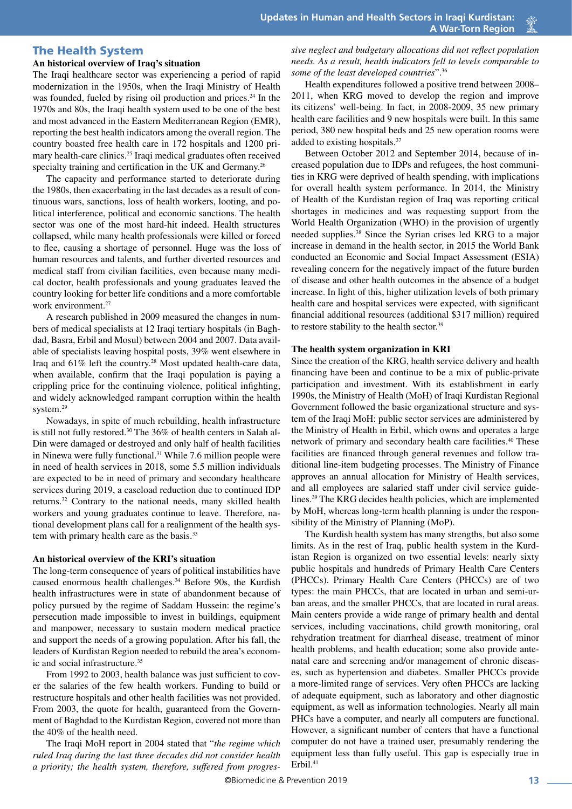# The Health System

# **An historical overview of Iraq's situation**

The Iraqi healthcare sector was experiencing a period of rapid modernization in the 1950s, when the Iraqi Ministry of Health was founded, fueled by rising oil production and prices.<sup>24</sup> In the 1970s and 80s, the Iraqi health system used to be one of the best and most advanced in the Eastern Mediterranean Region (EMR), reporting the best health indicators among the overall region. The country boasted free health care in 172 hospitals and 1200 primary health-care clinics.25 Iraqi medical graduates often received specialty training and certification in the UK and Germany.<sup>26</sup>

The capacity and performance started to deteriorate during the 1980s, then exacerbating in the last decades as a result of continuous wars, sanctions, loss of health workers, looting, and political interference, political and economic sanctions. The health sector was one of the most hard-hit indeed. Health structures collapsed, while many health professionals were killed or forced to flee, causing a shortage of personnel. Huge was the loss of human resources and talents, and further diverted resources and medical staff from civilian facilities, even because many medical doctor, health professionals and young graduates leaved the country looking for better life conditions and a more comfortable work environment.<sup>27</sup>

A research published in 2009 measured the changes in numbers of medical specialists at 12 Iraqi tertiary hospitals (in Baghdad, Basra, Erbil and Mosul) between 2004 and 2007. Data available of specialists leaving hospital posts, 39% went elsewhere in Iraq and 61% left the country.28 Most updated health-care data, when available, confirm that the Iraqi population is paying a crippling price for the continuing violence, political infighting, and widely acknowledged rampant corruption within the health system.<sup>29</sup>

Nowadays, in spite of much rebuilding, health infrastructure is still not fully restored.30 The 36% of health centers in Salah al-Din were damaged or destroyed and only half of health facilities in Ninewa were fully functional.<sup>31</sup> While 7.6 million people were in need of health services in 2018, some 5.5 million individuals are expected to be in need of primary and secondary healthcare services during 2019, a caseload reduction due to continued IDP returns.32 Contrary to the national needs, many skilled health workers and young graduates continue to leave. Therefore, national development plans call for a realignment of the health system with primary health care as the basis.<sup>33</sup>

#### **An historical overview of the KRI's situation**

The long-term consequence of years of political instabilities have caused enormous health challenges.<sup>34</sup> Before 90s, the Kurdish health infrastructures were in state of abandonment because of policy pursued by the regime of Saddam Hussein: the regime's persecution made impossible to invest in buildings, equipment and manpower, necessary to sustain modern medical practice and support the needs of a growing population. After his fall, the leaders of Kurdistan Region needed to rebuild the area's economic and social infrastructure.35

From 1992 to 2003, health balance was just sufficient to cover the salaries of the few health workers. Funding to build or restructure hospitals and other health facilities was not provided. From 2003, the quote for health, guaranteed from the Government of Baghdad to the Kurdistan Region, covered not more than the 40% of the health need.

The Iraqi MoH report in 2004 stated that "*the regime which ruled Iraq during the last three decades did not consider health a priority; the health system, therefore, suffered from progres-* *sive neglect and budgetary allocations did not reflect population needs. As a result, health indicators fell to levels comparable to some of the least developed countries*".36

Health expenditures followed a positive trend between 2008– 2011, when KRG moved to develop the region and improve its citizens' well-being. In fact, in 2008-2009, 35 new primary health care facilities and 9 new hospitals were built. In this same period, 380 new hospital beds and 25 new operation rooms were added to existing hospitals.37

Between October 2012 and September 2014, because of increased population due to IDPs and refugees, the host communities in KRG were deprived of health spending, with implications for overall health system performance. In 2014, the Ministry of Health of the Kurdistan region of Iraq was reporting critical shortages in medicines and was requesting support from the World Health Organization (WHO) in the provision of urgently needed supplies.38 Since the Syrian crises led KRG to a major increase in demand in the health sector, in 2015 the World Bank conducted an Economic and Social Impact Assessment (ESIA) revealing concern for the negatively impact of the future burden of disease and other health outcomes in the absence of a budget increase. In light of this, higher utilization levels of both primary health care and hospital services were expected, with significant financial additional resources (additional \$317 million) required to restore stability to the health sector.<sup>39</sup>

#### **The health system organization in KRI**

Since the creation of the KRG, health service delivery and health financing have been and continue to be a mix of public-private participation and investment. With its establishment in early 1990s, the Ministry of Health (MoH) of Iraqi Kurdistan Regional Government followed the basic organizational structure and system of the Iraqi MoH: public sector services are administered by the Ministry of Health in Erbil, which owns and operates a large network of primary and secondary health care facilities.40 These facilities are financed through general revenues and follow traditional line-item budgeting processes. The Ministry of Finance approves an annual allocation for Ministry of Health services, and all employees are salaried staff under civil service guidelines.39 The KRG decides health policies, which are implemented by MoH, whereas long-term health planning is under the responsibility of the Ministry of Planning (MoP).

The Kurdish health system has many strengths, but also some limits. As in the rest of Iraq, public health system in the Kurdistan Region is organized on two essential levels: nearly sixty public hospitals and hundreds of Primary Health Care Centers (PHCCs). Primary Health Care Centers (PHCCs) are of two types: the main PHCCs, that are located in urban and semi-urban areas, and the smaller PHCCs, that are located in rural areas. Main centers provide a wide range of primary health and dental services, including vaccinations, child growth monitoring, oral rehydration treatment for diarrheal disease, treatment of minor health problems, and health education; some also provide antenatal care and screening and/or management of chronic diseases, such as hypertension and diabetes. Smaller PHCCs provide a more-limited range of services. Very often PHCCs are lacking of adequate equipment, such as laboratory and other diagnostic equipment, as well as information technologies. Nearly all main PHCs have a computer, and nearly all computers are functional. However, a significant number of centers that have a functional computer do not have a trained user, presumably rendering the equipment less than fully useful. This gap is especially true in  $Erbil.<sup>41</sup>$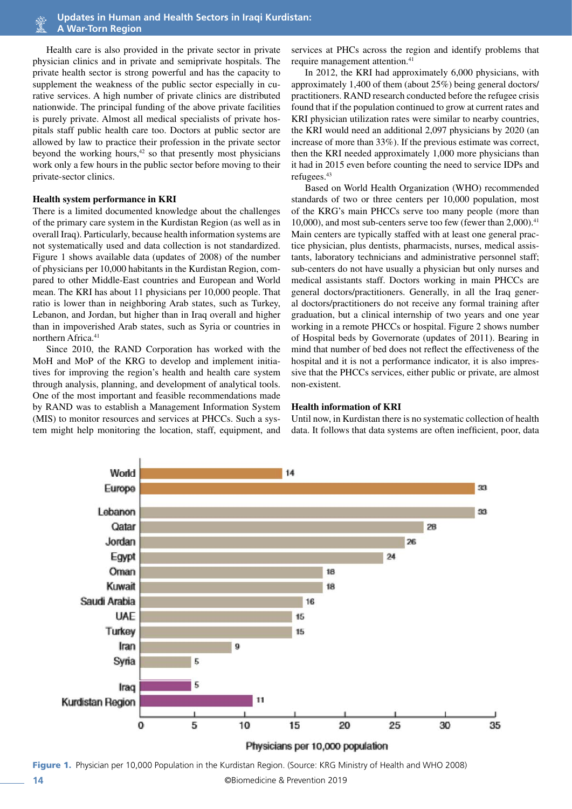Health care is also provided in the private sector in private physician clinics and in private and semiprivate hospitals. The private health sector is strong powerful and has the capacity to supplement the weakness of the public sector especially in curative services. A high number of private clinics are distributed nationwide. The principal funding of the above private facilities is purely private. Almost all medical specialists of private hospitals staff public health care too. Doctors at public sector are allowed by law to practice their profession in the private sector beyond the working hours, $42$  so that presently most physicians work only a few hours in the public sector before moving to their private-sector clinics.

#### **Health system performance in KRI**

There is a limited documented knowledge about the challenges of the primary care system in the Kurdistan Region (as well as in overall Iraq). Particularly, because health information systems are not systematically used and data collection is not standardized. Figure 1 shows available data (updates of 2008) of the number of physicians per 10,000 habitants in the Kurdistan Region, compared to other Middle-East countries and European and World mean. The KRI has about 11 physicians per 10,000 people. That ratio is lower than in neighboring Arab states, such as Turkey, Lebanon, and Jordan, but higher than in Iraq overall and higher than in impoverished Arab states, such as Syria or countries in northern Africa.<sup>41</sup>

Since 2010, the RAND Corporation has worked with the MoH and MoP of the KRG to develop and implement initiatives for improving the region's health and health care system through analysis, planning, and development of analytical tools. One of the most important and feasible recommendations made by RAND was to establish a Management Information System (MIS) to monitor resources and services at PHCCs. Such a system might help monitoring the location, staff, equipment, and

services at PHCs across the region and identify problems that require management attention.<sup>41</sup>

In 2012, the KRI had approximately 6,000 physicians, with approximately 1,400 of them (about 25%) being general doctors/ practitioners. RAND research conducted before the refugee crisis found that if the population continued to grow at current rates and KRI physician utilization rates were similar to nearby countries. the KRI would need an additional 2,097 physicians by 2020 (an increase of more than 33%). If the previous estimate was correct, then the KRI needed approximately 1,000 more physicians than it had in 2015 even before counting the need to service IDPs and refugees.43

Based on World Health Organization (WHO) recommended standards of two or three centers per 10,000 population, most of the KRG's main PHCCs serve too many people (more than 10,000), and most sub-centers serve too few (fewer than 2,000).<sup>41</sup> Main centers are typically staffed with at least one general practice physician, plus dentists, pharmacists, nurses, medical assistants, laboratory technicians and administrative personnel staff; sub-centers do not have usually a physician but only nurses and medical assistants staff. Doctors working in main PHCCs are general doctors/practitioners. Generally, in all the Iraq general doctors/practitioners do not receive any formal training after graduation, but a clinical internship of two years and one year working in a remote PHCCs or hospital. Figure 2 shows number of Hospital beds by Governorate (updates of 2011). Bearing in mind that number of bed does not reflect the effectiveness of the hospital and it is not a performance indicator, it is also impressive that the PHCCs services, either public or private, are almost non-existent.

#### **Health information of KRI**

Until now, in Kurdistan there is no systematic collection of health data. It follows that data systems are often inefficient, poor, data



**14** ©Biomedicine & Prevention 2019 Figure 1. Physician per 10,000 Population in the Kurdistan Region. (Source: KRG Ministry of Health and WHO 2008)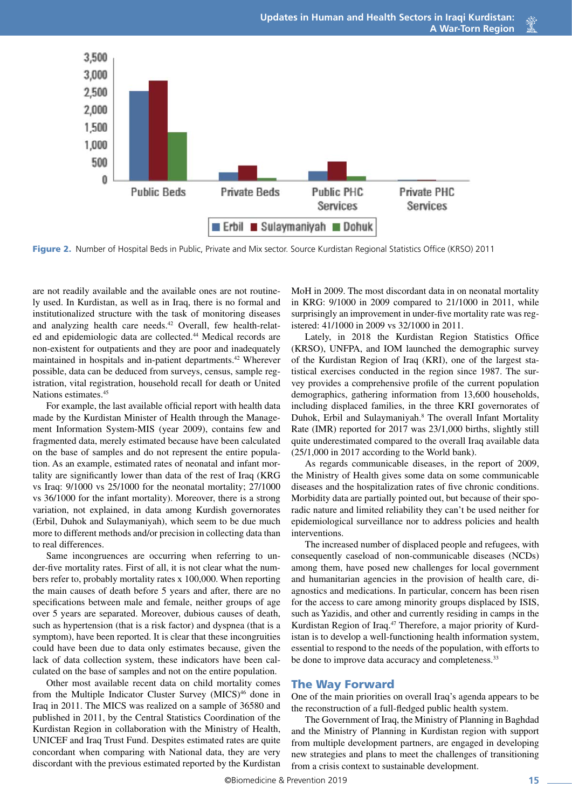

Figure 2. Number of Hospital Beds in Public, Private and Mix sector. Source Kurdistan Regional Statistics Office (KRSO) 2011

are not readily available and the available ones are not routinely used. In Kurdistan, as well as in Iraq, there is no formal and institutionalized structure with the task of monitoring diseases and analyzing health care needs.42 Overall, few health-related and epidemiologic data are collected.<sup>44</sup> Medical records are non-existent for outpatients and they are poor and inadequately maintained in hospitals and in-patient departments.<sup>42</sup> Wherever possible, data can be deduced from surveys, census, sample registration, vital registration, household recall for death or United Nations estimates.45

For example, the last available official report with health data made by the Kurdistan Minister of Health through the Management Information System-MIS (year 2009), contains few and fragmented data, merely estimated because have been calculated on the base of samples and do not represent the entire population. As an example, estimated rates of neonatal and infant mortality are significantly lower than data of the rest of Iraq (KRG vs Iraq: 9/1000 vs 25/1000 for the neonatal mortality; 27/1000 vs 36/1000 for the infant mortality). Moreover, there is a strong variation, not explained, in data among Kurdish governorates (Erbil, Duhok and Sulaymaniyah), which seem to be due much more to different methods and/or precision in collecting data than to real differences.

Same incongruences are occurring when referring to under-five mortality rates. First of all, it is not clear what the numbers refer to, probably mortality rates x 100,000. When reporting the main causes of death before 5 years and after, there are no specifications between male and female, neither groups of age over 5 years are separated. Moreover, dubious causes of death, such as hypertension (that is a risk factor) and dyspnea (that is a symptom), have been reported. It is clear that these incongruities could have been due to data only estimates because, given the lack of data collection system, these indicators have been calculated on the base of samples and not on the entire population.

Other most available recent data on child mortality comes from the Multiple Indicator Cluster Survey (MICS)<sup>46</sup> done in Iraq in 2011. The MICS was realized on a sample of 36580 and published in 2011, by the Central Statistics Coordination of the Kurdistan Region in collaboration with the Ministry of Health, UNICEF and Iraq Trust Fund. Despites estimated rates are quite concordant when comparing with National data, they are very discordant with the previous estimated reported by the Kurdistan

MoH in 2009. The most discordant data in on neonatal mortality in KRG: 9/1000 in 2009 compared to 21/1000 in 2011, while surprisingly an improvement in under-five mortality rate was registered: 41/1000 in 2009 vs 32/1000 in 2011.

Lately, in 2018 the Kurdistan Region Statistics Office (KRSO), UNFPA, and IOM launched the demographic survey of the Kurdistan Region of Iraq (KRI), one of the largest statistical exercises conducted in the region since 1987. The survey provides a comprehensive profile of the current population demographics, gathering information from 13,600 households, including displaced families, in the three KRI governorates of Duhok, Erbil and Sulaymaniyah.<sup>8</sup> The overall Infant Mortality Rate (IMR) reported for 2017 was 23/1,000 births, slightly still quite underestimated compared to the overall Iraq available data (25/1,000 in 2017 according to the World bank).

As regards communicable diseases, in the report of 2009, the Ministry of Health gives some data on some communicable diseases and the hospitalization rates of five chronic conditions. Morbidity data are partially pointed out, but because of their sporadic nature and limited reliability they can't be used neither for epidemiological surveillance nor to address policies and health interventions.

The increased number of displaced people and refugees, with consequently caseload of non-communicable diseases (NCDs) among them, have posed new challenges for local government and humanitarian agencies in the provision of health care, diagnostics and medications. In particular, concern has been risen for the access to care among minority groups displaced by ISIS, such as Yazidis, and other and currently residing in camps in the Kurdistan Region of Iraq.47 Therefore, a major priority of Kurdistan is to develop a well-functioning health information system, essential to respond to the needs of the population, with efforts to be done to improve data accuracy and completeness.<sup>33</sup>

#### The Way Forward

One of the main priorities on overall Iraq's agenda appears to be the reconstruction of a full-fledged public health system.

The Government of Iraq, the Ministry of Planning in Baghdad and the Ministry of Planning in Kurdistan region with support from multiple development partners, are engaged in developing new strategies and plans to meet the challenges of transitioning from a crisis context to sustainable development.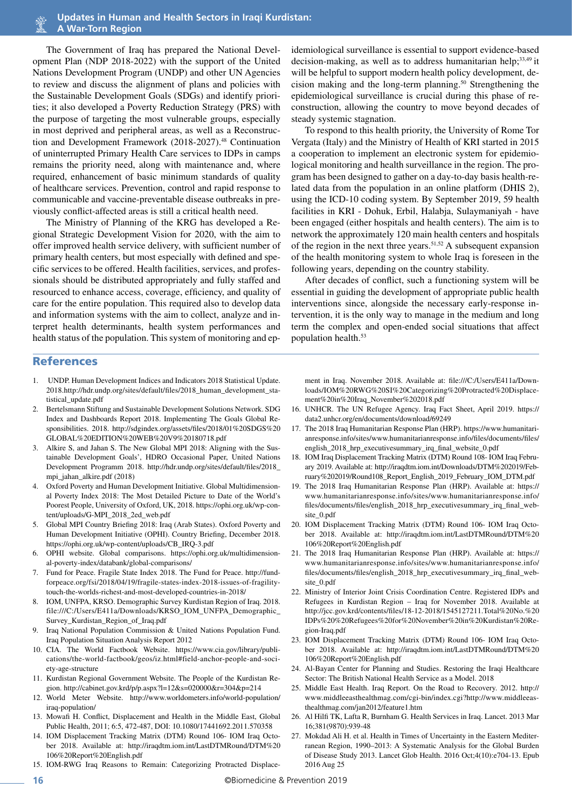The Government of Iraq has prepared the National Development Plan (NDP 2018-2022) with the support of the United Nations Development Program (UNDP) and other UN Agencies to review and discuss the alignment of plans and policies with the Sustainable Development Goals (SDGs) and identify priorities; it also developed a Poverty Reduction Strategy (PRS) with the purpose of targeting the most vulnerable groups, especially in most deprived and peripheral areas, as well as a Reconstruction and Development Framework (2018-2027).<sup>48</sup> Continuation of uninterrupted Primary Health Care services to IDPs in camps remains the priority need, along with maintenance and, where required, enhancement of basic minimum standards of quality of healthcare services. Prevention, control and rapid response to communicable and vaccine-preventable disease outbreaks in previously conflict-affected areas is still a critical health need.

The Ministry of Planning of the KRG has developed a Regional Strategic Development Vision for 2020, with the aim to offer improved health service delivery, with sufficient number of primary health centers, but most especially with defined and specific services to be offered. Health facilities, services, and professionals should be distributed appropriately and fully staffed and resourced to enhance access, coverage, efficiency, and quality of care for the entire population. This required also to develop data and information systems with the aim to collect, analyze and interpret health determinants, health system performances and health status of the population. This system of monitoring and epidemiological surveillance is essential to support evidence-based decision-making, as well as to address humanitarian help;<sup>33,49</sup> it will be helpful to support modern health policy development, decision making and the long-term planning.50 Strengthening the epidemiological surveillance is crucial during this phase of reconstruction, allowing the country to move beyond decades of steady systemic stagnation.

To respond to this health priority, the University of Rome Tor Vergata (Italy) and the Ministry of Health of KRI started in 2015 a cooperation to implement an electronic system for epidemiological monitoring and health surveillance in the region. The program has been designed to gather on a day-to-day basis health-related data from the population in an online platform (DHIS 2), using the ICD-10 coding system. By September 2019, 59 health facilities in KRI - Dohuk, Erbil, Halabja, Sulaymaniyah - have been engaged (either hospitals and health centers). The aim is to network the approximately 120 main health centers and hospitals of the region in the next three years.<sup>51,52</sup> A subsequent expansion of the health monitoring system to whole Iraq is foreseen in the following years, depending on the country stability.

After decades of conflict, such a functioning system will be essential in guiding the development of appropriate public health interventions since, alongside the necessary early-response intervention, it is the only way to manage in the medium and long term the complex and open-ended social situations that affect population health.53

# References

- 1. UNDP. Human Development Indices and Indicators 2018 Statistical Update. 2018.http://hdr.undp.org/sites/default/files/2018\_human\_development\_statistical\_update.pdf
- 2. Bertelsmann Stiftung and Sustainable Development Solutions Network. SDG Index and Dashboards Report 2018. Implementing The Goals Global Responsibilities. 2018. http://sdgindex.org/assets/files/2018/01%20SDGS%20 GLOBAL%20EDITION%20WEB%20V9%20180718.pdf
- 3. Alkire S, and Jahan S. The New Global MPI 2018: Aligning with the Sustainable Development Goals', HDRO Occasional Paper, United Nations Development Programm 2018. http://hdr.undp.org/sites/default/files/2018\_ mpi\_jahan\_alkire.pdf (2018)
- 4. Oxford Poverty and Human Development Initiative. Global Multidimensional Poverty Index 2018: The Most Detailed Picture to Date of the World's Poorest People, University of Oxford, UK, 2018. https://ophi.org.uk/wp-content/uploads/G-MPI\_2018\_2ed\_web.pdf
- 5. Global MPI Country Briefing 2018: Iraq (Arab States). Oxford Poverty and Human Development Initiative (OPHI). Country Briefing, December 2018. https://ophi.org.uk/wp-content/uploads/CB\_IRQ-3.pdf
- 6. OPHI website. Global comparisons. https://ophi.org.uk/multidimensional-poverty-index/databank/global-comparisons/
- 7. Fund for Peace. Fragile State Index 2018. The Fund for Peace. http://fundforpeace.org/fsi/2018/04/19/fragile-states-index-2018-issues-of-fragilitytouch-the-worlds-richest-and-most-developed-countries-in-2018/
- 8. IOM, UNFPA, KRSO. Demographic Survey Kurdistan Region of Iraq. 2018. file:///C:/Users/E411a/Downloads/KRSO\_IOM\_UNFPA\_Demographic\_ Survey\_Kurdistan\_Region\_of\_Iraq.pdf
- Iraq National Population Commission & United Nations Population Fund. Iraq Population Situation Analysis Report 2012
- 10. CIA. The World Factbook Website. https://www.cia.gov/library/publications/the-world-factbook/geos/iz.html#field-anchor-people-and-society-age-structure
- 11. Kurdistan Regional Government Website. The People of the Kurdistan Region. http://cabinet.gov.krd/p/p.aspx?l=12&s=020000&r=304&p=214
- 12. World Meter Website. http://www.worldometers.info/world-population/ iraq-population/
- 13. Mowafi H. Conflict, Displacement and Health in the Middle East, Global Public Health, 2011; 6:5, 472-487, DOI: 10.1080/17441692.2011.570358
- 14. IOM Displacement Tracking Matrix (DTM) Round 106- IOM Iraq October 2018. Available at: http://iraqdtm.iom.int/LastDTMRound/DTM%20 106%20Report%20English.pdf
- 15. IOM-RWG Iraq Reasons to Remain: Categorizing Protracted Displace-

ment in Iraq. November 2018. Available at: file:///C:/Users/E411a/Downloads/IOM%20RWG%20SI%20Categorizing%20Protracted%20Displacement%20in%20Iraq\_November%202018.pdf

- 16. UNHCR. The UN Refugee Agency. Iraq Fact Sheet, April 2019. https:// data2.unhcr.org/en/documents/download/69249
- 17. The 2018 Iraq Humanitarian Response Plan (HRP). https://www.humanitarianresponse.info/sites/www.humanitarianresponse.info/files/documents/files/ english\_2018\_hrp\_executivesummary\_irq\_final\_website\_0.pdf
- 18. IOM Iraq Displacement Tracking Matrix (DTM) Round 108- IOM Iraq February 2019. Available at: http://iraqdtm.iom.int/Downloads/DTM%202019/February%202019/Round108\_Report\_English\_2019\_February\_IOM\_DTM.pdf
- 19. The 2018 Iraq Humanitarian Response Plan (HRP). Available at: https:// www.humanitarianresponse.info/sites/www.humanitarianresponse.info/ files/documents/files/english\_2018\_hrp\_executivesummary\_irq\_final\_website\_0.pdf
- 20. IOM Displacement Tracking Matrix (DTM) Round 106- IOM Iraq October 2018. Available at: http://iraqdtm.iom.int/LastDTMRound/DTM%20 106%20Report%20English.pdf
- 21. The 2018 Iraq Humanitarian Response Plan (HRP). Available at: https:// www.humanitarianresponse.info/sites/www.humanitarianresponse.info/ files/documents/files/english\_2018\_hrp\_executivesummary\_irq\_final\_website\_0.pdf
- 22. Ministry of Interior Joint Crisis Coordination Centre. Registered IDPs and Refugees in Kurdistan Region – Iraq for November 2018. Available at http://jcc.gov.krd/contents/files/18-12-2018/1545127211.Total%20No.%20 IDPs%20%20Refugees%20for%20November%20in%20Kurdistan%20Region-Iraq.pdf
- 23. IOM Displacement Tracking Matrix (DTM) Round 106- IOM Iraq October 2018. Available at: http://iraqdtm.iom.int/LastDTMRound/DTM%20 106%20Report%20English.pdf
- 24. Al-Bayan Center for Planning and Studies. Restoring the Iraqi Healthcare Sector: The British National Health Service as a Model. 2018
- 25. Middle East Health. Iraq Report. On the Road to Recovery. 2012. http:// www.middleeasthealthmag.com/cgi-bin/index.cgi?http://www.middleeasthealthmag.com/jan2012/feature1.htm
- 26. Al Hilfi TK, Lafta R, Burnham G. Health Services in Iraq. Lancet. 2013 Mar 16;381(9870):939-48
- 27. Mokdad Ali H. et al. Health in Times of Uncertainty in the Eastern Mediterranean Region, 1990–2013: A Systematic Analysis for the Global Burden of Disease Study 2013. Lancet Glob Health. 2016 Oct;4(10):e704-13. Epub 2016 Aug 25